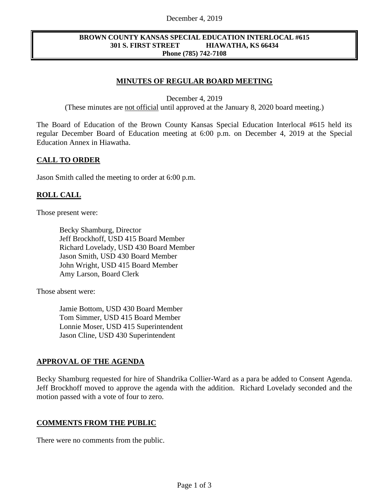#### December 4, 2019

#### **BROWN COUNTY KANSAS SPECIAL EDUCATION INTERLOCAL #615 301 S. FIRST STREET HIAWATHA, KS 66434 Phone (785) 742-7108**

# **MINUTES OF REGULAR BOARD MEETING**

December 4, 2019

(These minutes are not official until approved at the January 8, 2020 board meeting.)

The Board of Education of the Brown County Kansas Special Education Interlocal #615 held its regular December Board of Education meeting at 6:00 p.m. on December 4, 2019 at the Special Education Annex in Hiawatha.

## **CALL TO ORDER**

Jason Smith called the meeting to order at 6:00 p.m.

## **ROLL CALL**

Those present were:

Becky Shamburg, Director Jeff Brockhoff, USD 415 Board Member Richard Lovelady, USD 430 Board Member Jason Smith, USD 430 Board Member John Wright, USD 415 Board Member Amy Larson, Board Clerk

Those absent were:

Jamie Bottom, USD 430 Board Member Tom Simmer, USD 415 Board Member Lonnie Moser, USD 415 Superintendent Jason Cline, USD 430 Superintendent

# **APPROVAL OF THE AGENDA**

Becky Shamburg requested for hire of Shandrika Collier-Ward as a para be added to Consent Agenda. Jeff Brockhoff moved to approve the agenda with the addition. Richard Lovelady seconded and the motion passed with a vote of four to zero.

#### **COMMENTS FROM THE PUBLIC**

There were no comments from the public.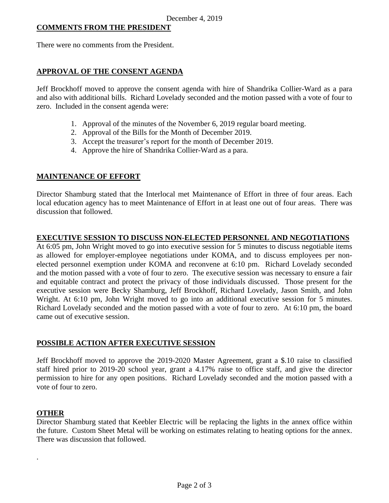#### **COMMENTS FROM THE PRESIDENT**

There were no comments from the President.

## **APPROVAL OF THE CONSENT AGENDA**

Jeff Brockhoff moved to approve the consent agenda with hire of Shandrika Collier-Ward as a para and also with additional bills. Richard Lovelady seconded and the motion passed with a vote of four to zero. Included in the consent agenda were:

- 1. Approval of the minutes of the November 6, 2019 regular board meeting.
- 2. Approval of the Bills for the Month of December 2019.
- 3. Accept the treasurer's report for the month of December 2019.
- 4. Approve the hire of Shandrika Collier-Ward as a para.

## **MAINTENANCE OF EFFORT**

Director Shamburg stated that the Interlocal met Maintenance of Effort in three of four areas. Each local education agency has to meet Maintenance of Effort in at least one out of four areas. There was discussion that followed.

## **EXECUTIVE SESSION TO DISCUSS NON-ELECTED PERSONNEL AND NEGOTIATIONS**

At 6:05 pm, John Wright moved to go into executive session for 5 minutes to discuss negotiable items as allowed for employer-employee negotiations under KOMA, and to discuss employees per nonelected personnel exemption under KOMA and reconvene at 6:10 pm. Richard Lovelady seconded and the motion passed with a vote of four to zero. The executive session was necessary to ensure a fair and equitable contract and protect the privacy of those individuals discussed. Those present for the executive session were Becky Shamburg, Jeff Brockhoff, Richard Lovelady, Jason Smith, and John Wright. At 6:10 pm, John Wright moved to go into an additional executive session for 5 minutes. Richard Lovelady seconded and the motion passed with a vote of four to zero. At 6:10 pm, the board came out of executive session.

#### **POSSIBLE ACTION AFTER EXECUTIVE SESSION**

Jeff Brockhoff moved to approve the 2019-2020 Master Agreement, grant a \$.10 raise to classified staff hired prior to 2019-20 school year, grant a 4.17% raise to office staff, and give the director permission to hire for any open positions. Richard Lovelady seconded and the motion passed with a vote of four to zero.

#### **OTHER**

.

Director Shamburg stated that Keebler Electric will be replacing the lights in the annex office within the future. Custom Sheet Metal will be working on estimates relating to heating options for the annex. There was discussion that followed.